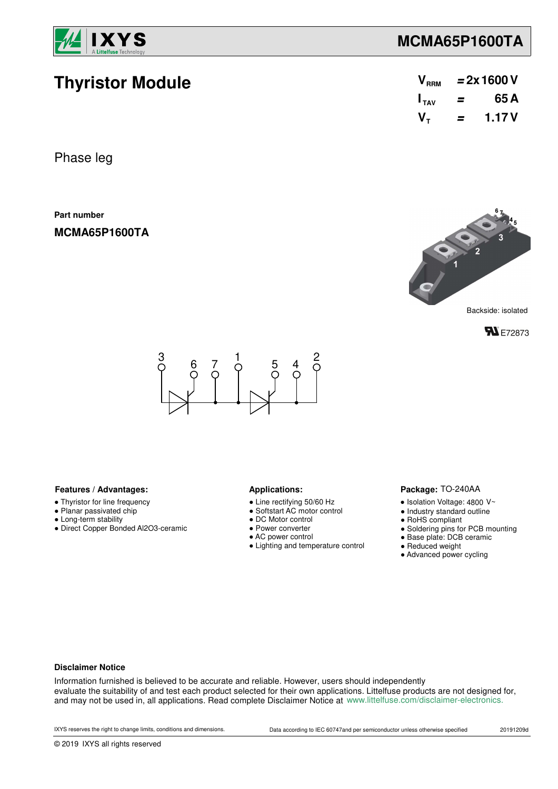

**Thyristor Module**

## **MCMA65P1600TA**

| V <sub>RRM</sub> | $= 2x 1600 V$ |       |  |  |  |
|------------------|---------------|-------|--|--|--|
| $I_{TAV}$        | =             | 65 A  |  |  |  |
| $V_{\tau}$       | =             | 1.17V |  |  |  |

Phase leg

**Part number**

**MCMA65P1600TA**



**FN** E72873



### Features / Advantages: **All Applications: Applications:**

- Thyristor for line frequency
- Planar passivated chip
- Long-term stability
- Direct Copper Bonded Al2O3-ceramic

- Line rectifying 50/60 Hz
- Softstart AC motor control
- DC Motor control
- Power converter
- AC power control
- Lighting and temperature control

#### Package: TO-240AA

- $\bullet$  Isolation Voltage: 4800 V~
- Industry standard outline
- RoHS compliant
- Soldering pins for PCB mounting
- Base plate: DCB ceramic
- Reduced weight
- Advanced power cycling

#### **Disclaimer Notice**

Information furnished is believed to be accurate and reliable. However, users should independently evaluate the suitability of and test each product selected for their own applications. Littelfuse products are not designed for, and may not be used in, all applications. Read complete Disclaimer Notice at www.littelfuse.com/disclaimer-electronics.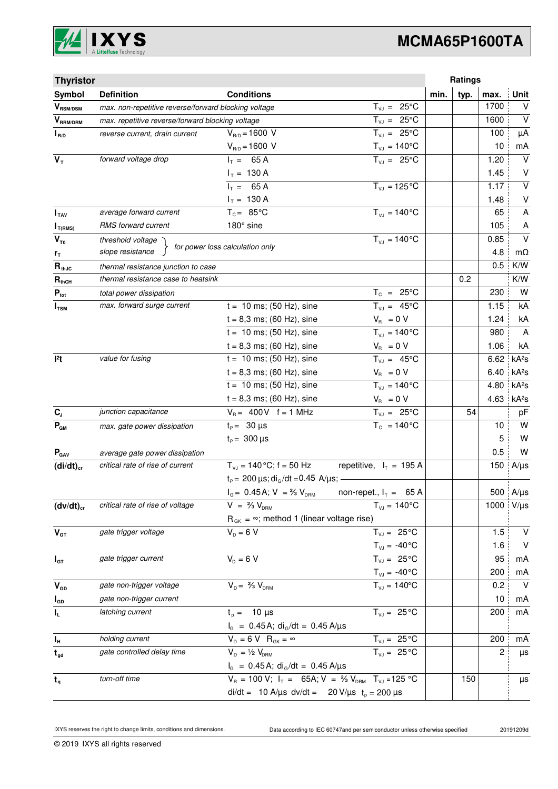

# **MCMA65P1600TA**

| <b>Thyristor</b>          |                                                                                             |                                                                    |                                |      | Ratings |      |                   |
|---------------------------|---------------------------------------------------------------------------------------------|--------------------------------------------------------------------|--------------------------------|------|---------|------|-------------------|
| Symbol                    | <b>Definition</b>                                                                           | <b>Conditions</b>                                                  |                                | min. | typ.    | max. | Unit              |
| $V_{\text{RSM/DSM}}$      | max. non-repetitive reverse/forward blocking voltage                                        |                                                                    | $T_{VJ} = 25^{\circ}C$         |      |         | 1700 | V                 |
| $V_{\tiny\text{RRM/DRM}}$ | max. repetitive reverse/forward blocking voltage                                            |                                                                    | $T_{VJ} = 25^{\circ}C$         |      |         | 1600 | $\vee$            |
| $I_{R/D}$                 | reverse current, drain current                                                              | $V_{R/D} = 1600 V$                                                 | $T_{VJ} = 25^{\circ}C$         |      |         | 100  | μA                |
|                           |                                                                                             | $V_{R/D} = 1600 V$                                                 | $T_{\nu J} = 140^{\circ}C$     |      |         | 10   | mA                |
| $V_T$                     | forward voltage drop                                                                        | $I_T = 65 A$                                                       | $T_{V,1} = 25^{\circ}C$        |      |         | 1.20 | $\vee$            |
|                           |                                                                                             | $I_T = 130 A$                                                      |                                |      |         | 1.45 | V                 |
|                           |                                                                                             | $I_T = 65 A$                                                       | $T_{VJ} = 125$ °C              |      |         | 1.17 | $\vee$            |
|                           |                                                                                             | $I_T = 130 A$                                                      |                                |      |         | 1.48 | V                 |
| I <sub>TAV</sub>          | average forward current                                                                     | $T_c = 85^{\circ}$ C                                               | $T_{V1} = 140^{\circ}C$        |      |         | 65   | A                 |
| $I_{T(RMS)}$              | RMS forward current                                                                         | 180° sine                                                          |                                |      |         | 105  | A                 |
| $V_{\tau_0}$              | threshold voltage                                                                           |                                                                    | $T_{V,I} = 140^{\circ}C$       |      |         | 0.85 | $\vee$            |
| $r_{\tau}$                | slope resistance                                                                            | for power loss calculation only                                    |                                |      |         | 4.8  | $m\Omega$         |
| $R_{thJC}$                | thermal resistance junction to case                                                         |                                                                    |                                |      |         | 0.5  | K/W               |
| $R_{thCH}$                | thermal resistance case to heatsink                                                         |                                                                    |                                |      | 0.2     |      | K/W               |
| $P_{\text{tot}}$          | total power dissipation                                                                     |                                                                    | $T_c = 25^{\circ}C$            |      |         | 230  | W                 |
| $I_{\texttt{TSM}}$        | max. forward surge current                                                                  | $t = 10$ ms; (50 Hz), sine                                         | $T_{VJ} = 45^{\circ}C$         |      |         | 1.15 | kA                |
|                           |                                                                                             | $t = 8,3$ ms; (60 Hz), sine                                        | $V_{\rm R} = 0 V$              |      |         | 1.24 | kA                |
|                           |                                                                                             | $t = 10$ ms; (50 Hz), sine                                         | $\overline{T_{vJ}}$ = 140°C    |      |         | 980  | $\overline{A}$    |
|                           |                                                                                             | $t = 8,3$ ms; (60 Hz), sine                                        | $V_{\rm R} = 0 V$              |      |         | 1.06 | kA                |
| l <sup>2</sup> t          | value for fusing                                                                            | $t = 10$ ms; (50 Hz), sine                                         | $T_{VJ} = 45^{\circ}C$         |      |         | 6.62 | kA <sup>2</sup> S |
|                           |                                                                                             | $t = 8,3$ ms; (60 Hz), sine                                        | $V_{\rm R} = 0 V$              |      |         | 6.40 | kA <sup>2</sup> S |
|                           |                                                                                             | $t = 10$ ms; (50 Hz), sine                                         | $T_{VJ} = 140^{\circ}C$        |      |         | 4.80 | kA <sup>2</sup> s |
|                           |                                                                                             | $t = 8,3$ ms; (60 Hz), sine                                        | $V_{\rm R} = 0 V$              |      |         | 4.63 | kA <sup>2</sup> S |
| $\mathbf{C}_\text{J}$     | junction capacitance                                                                        | $V_B = 400V$ f = 1 MHz                                             | $T_{VJ} = 25^{\circ}C$         |      | 54      |      | pF                |
| $P_{GM}$                  | max. gate power dissipation                                                                 | $t_P = 30 \mu s$                                                   | $T_c = 140^{\circ}$ C          |      |         | 10   | W                 |
|                           |                                                                                             | $t_{\rm p} = 300 \,\mu s$                                          |                                |      |         | 5    | W                 |
| $P_{\text{GAV}}$          | average gate power dissipation                                                              |                                                                    |                                |      |         | 0.5  | W                 |
| $(di/dt)_{cr}$            | critical rate of rise of current                                                            | $T_{V1}$ = 140 °C; f = 50 Hz                                       | repetitive, $I_T = 195 A$      |      |         | 150  | $A/\mu s$         |
|                           |                                                                                             | $t_P$ = 200 $\mu$ s; di <sub>G</sub> /dt = 0.45 A/ $\mu$ s; -      |                                |      |         |      |                   |
|                           |                                                                                             | $I_G = 0.45$ A; $V = \frac{2}{3} V_{DRM}$ non-repet., $I_T = 65$ A |                                |      |         |      | 500 $A/\mu s$     |
| $(dv/dt)_{cr}$            | critical rate of rise of voltage                                                            | $V = \frac{2}{3} V_{DBM}$                                          | $T_{VJ} = 140^{\circ}C$        |      |         |      | 1000 V/µs         |
|                           |                                                                                             | $R_{GK} = \infty$ ; method 1 (linear voltage rise)                 |                                |      |         |      |                   |
| $V_{GT}$                  | gate trigger voltage                                                                        | $V_p = 6 V$                                                        | $T_{VJ} = 25^{\circ}C$         |      |         | 1.5  | $\vee$            |
|                           |                                                                                             |                                                                    | $T_{\text{VJ}} = -40^{\circ}C$ |      |         | 1.6  | V                 |
| $I_{GT}$                  | gate trigger current                                                                        | $V_{D} = 6 V$                                                      | $T_{\nu J} = 25^{\circ}C$      |      |         | 95   | mA                |
|                           |                                                                                             |                                                                    | $T_{\text{VJ}} = -40^{\circ}C$ |      |         | 200  | mA                |
| $V_{GD}$                  | gate non-trigger voltage                                                                    | $V_{D} = \frac{2}{3} V_{DBM}$                                      | $T_{VJ} = 140^{\circ}$ C       |      |         | 0.2  | $\vee$            |
| $I_{GD}$                  | gate non-trigger current                                                                    |                                                                    |                                |      |         | 10   | mA                |
| $\mathbf{l}_\mathsf{L}$   | latching current                                                                            | $t_p = 10 \mu s$                                                   | $T_{VJ} = 25^{\circ}C$         |      |         | 200  | mA                |
|                           |                                                                                             | $I_G = 0.45 A$ ; di <sub>G</sub> /dt = 0.45 A/µs                   |                                |      |         |      |                   |
| $I_{\rm H}$               | holding current                                                                             | $V_{D} = 6 V R_{GK} = \infty$                                      | $T_{VJ} = 25 °C$               |      |         | 200  | mA                |
| $t_{gd}$                  | gate controlled delay time                                                                  | $V_{D} = \frac{1}{2} V_{DBM}$                                      | $T_{VJ} = 25 °C$               |      |         | 2    | μs                |
|                           |                                                                                             | $I_G = 0.45$ A; di <sub>G</sub> /dt = 0.45 A/µs                    |                                |      |         |      |                   |
| $t_{q}$                   | $V_R = 100 V; I_T = 65A; V = \frac{2}{3} V_{DRM}$ T <sub>VJ</sub> = 125 °C<br>turn-off time |                                                                    |                                |      | 150     |      | μs                |
|                           | di/dt = 10 A/µs dv/dt = 20 V/µs $t_p = 200 \mu s$                                           |                                                                    |                                |      |         |      |                   |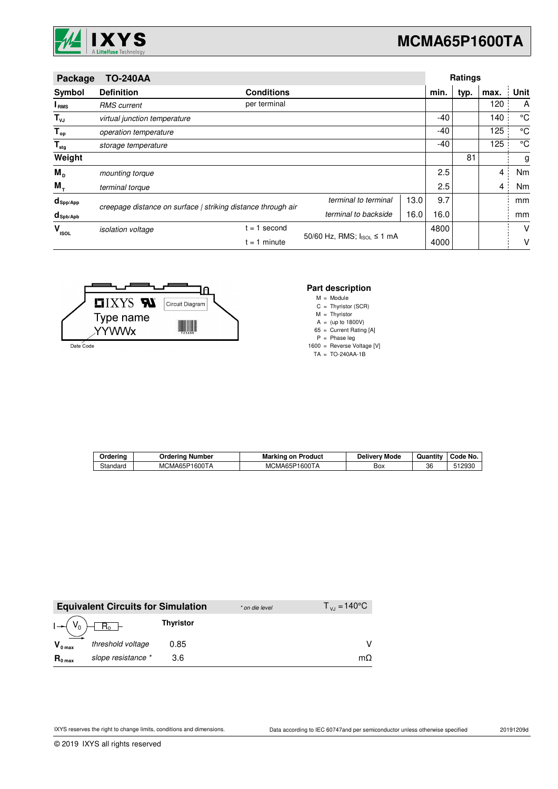

# **MCMA65P1600TA**

| Package                 | <b>TO-240AA</b>                                              |                                            |                      | Ratings |       |      |      |      |
|-------------------------|--------------------------------------------------------------|--------------------------------------------|----------------------|---------|-------|------|------|------|
| Symbol                  | <b>Definition</b>                                            | <b>Conditions</b>                          |                      |         | min.  | typ. | max. | Unit |
| I <sub>RMS</sub>        | <b>RMS</b> current                                           | per terminal                               |                      |         |       |      | 120  | A    |
| $T_{\nu J}$             | virtual junction temperature                                 |                                            |                      |         | -40   |      | 140  | °C   |
| $T_{op}$                | operation temperature                                        |                                            |                      |         | $-40$ |      | 125  | °C   |
| $\mathsf{T}_{\sf{stg}}$ | storage temperature                                          |                                            |                      |         | -40   |      | 125  | °C   |
| Weight                  |                                                              |                                            |                      |         |       | 81   |      | g    |
| $M_{\text{D}}$          | mounting torque                                              |                                            |                      |         | 2.5   |      | 4    | Nm   |
| $M_{\tau}$              | terminal torque                                              |                                            |                      |         | 2.5   |      | 4    | Nm   |
| $d_{\mathsf{Spp/App}}$  | creepage distance on surface   striking distance through air |                                            | terminal to terminal | 13.0    | 9.7   |      |      | mm   |
| $d_{\text{Spb/Apb}}$    |                                                              |                                            | terminal to backside | 16.0    | 16.0  |      |      | mm   |
| V<br><b>ISOL</b>        | isolation voltage                                            | $= 1$ second                               |                      |         | 4800  |      |      | V    |
|                         |                                                              | 50/60 Hz, RMS; IsoL ≤ 1 mA<br>$= 1$ minute |                      |         | 4000  |      |      | V    |



#### **Part description**

M = Module

C Thyristor (SCR) =

M A Thyristor (up to 1800V) = =

65 = Current Rating [A]

P Phase leg =

1600 = Reverse Voltage [V]

TA TO-240AA-1B =

| Orderino | Number<br>Orderina | Product<br>Marking<br>. on | <br><b>Delivery</b><br>' Mode | $ -$<br>Quantity | Code No.          |
|----------|--------------------|----------------------------|-------------------------------|------------------|-------------------|
| Standard | 1600TA<br>MCMA65P  | MCMA65P1600TA              | Box                           | 36               | 1002r<br>ا ∪ن ت∟. |

|                     | <b>Equivalent Circuits for Simulation</b> |                  | * on die level | $T_{\rm{v}} = 140^{\circ}$ C |
|---------------------|-------------------------------------------|------------------|----------------|------------------------------|
|                     | $I - (V_0) - R_0$                         | <b>Thyristor</b> |                |                              |
| $V_{0 \text{ max}}$ | threshold voltage                         | 0.85             |                |                              |
| $R_{0 \text{ max}}$ | slope resistance *                        | 3.6              |                | mΩ                           |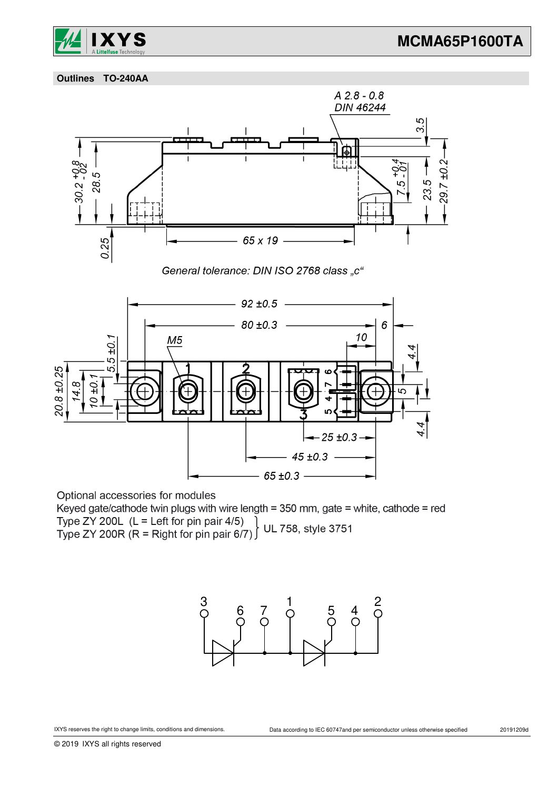

 **Outlines TO-240AA**



Optional accessories for modules

Keyed gate/cathode twin plugs with wire length = 350 mm, gate = white, cathode = red Type ZY 200L (L = Left for pin pair 4/5)<br>Type ZY 200L (L = Left for pin pair 4/5) UL 758, style 3751